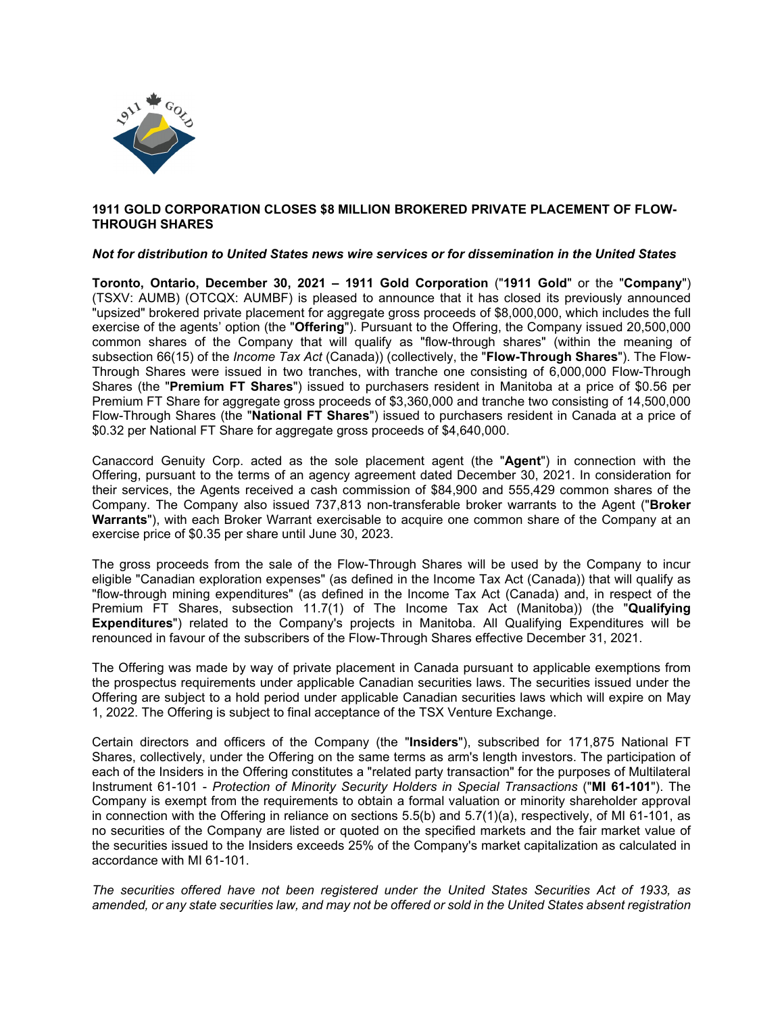

### **1911 GOLD CORPORATION CLOSES \$8 MILLION BROKERED PRIVATE PLACEMENT OF FLOW-THROUGH SHARES**

### *Not for distribution to United States news wire services or for dissemination in the United States*

**Toronto, Ontario, December 30, 2021 – 1911 Gold Corporation** ("**1911 Gold**" or the "**Company**") (TSXV: AUMB) (OTCQX: AUMBF) is pleased to announce that it has closed its previously announced "upsized" brokered private placement for aggregate gross proceeds of \$8,000,000, which includes the full exercise of the agents' option (the "**Offering**"). Pursuant to the Offering, the Company issued 20,500,000 common shares of the Company that will qualify as "flow-through shares" (within the meaning of subsection 66(15) of the *Income Tax Act* (Canada)) (collectively, the "**Flow-Through Shares**"). The Flow-Through Shares were issued in two tranches, with tranche one consisting of 6,000,000 Flow-Through Shares (the "**Premium FT Shares**") issued to purchasers resident in Manitoba at a price of \$0.56 per Premium FT Share for aggregate gross proceeds of \$3,360,000 and tranche two consisting of 14,500,000 Flow-Through Shares (the "**National FT Shares**") issued to purchasers resident in Canada at a price of \$0.32 per National FT Share for aggregate gross proceeds of \$4,640,000.

Canaccord Genuity Corp. acted as the sole placement agent (the "**Agent**") in connection with the Offering, pursuant to the terms of an agency agreement dated December 30, 2021. In consideration for their services, the Agents received a cash commission of \$84,900 and 555,429 common shares of the Company. The Company also issued 737,813 non-transferable broker warrants to the Agent ("**Broker Warrants**"), with each Broker Warrant exercisable to acquire one common share of the Company at an exercise price of \$0.35 per share until June 30, 2023.

The gross proceeds from the sale of the Flow-Through Shares will be used by the Company to incur eligible "Canadian exploration expenses" (as defined in the Income Tax Act (Canada)) that will qualify as "flow-through mining expenditures" (as defined in the Income Tax Act (Canada) and, in respect of the Premium FT Shares, subsection 11.7(1) of The Income Tax Act (Manitoba)) (the "**Qualifying Expenditures**") related to the Company's projects in Manitoba. All Qualifying Expenditures will be renounced in favour of the subscribers of the Flow-Through Shares effective December 31, 2021.

The Offering was made by way of private placement in Canada pursuant to applicable exemptions from the prospectus requirements under applicable Canadian securities laws. The securities issued under the Offering are subject to a hold period under applicable Canadian securities laws which will expire on May 1, 2022. The Offering is subject to final acceptance of the TSX Venture Exchange.

Certain directors and officers of the Company (the "**Insiders**"), subscribed for 171,875 National FT Shares, collectively, under the Offering on the same terms as arm's length investors. The participation of each of the Insiders in the Offering constitutes a "related party transaction" for the purposes of Multilateral Instrument 61-101 - *Protection of Minority Security Holders in Special Transactions* ("**MI 61-101**"). The Company is exempt from the requirements to obtain a formal valuation or minority shareholder approval in connection with the Offering in reliance on sections  $5.5(b)$  and  $5.7(1)(a)$ , respectively, of MI 61-101, as no securities of the Company are listed or quoted on the specified markets and the fair market value of the securities issued to the Insiders exceeds 25% of the Company's market capitalization as calculated in accordance with MI 61-101.

*The securities offered have not been registered under the United States Securities Act of 1933, as* amended, or any state securities law, and may not be offered or sold in the United States absent registration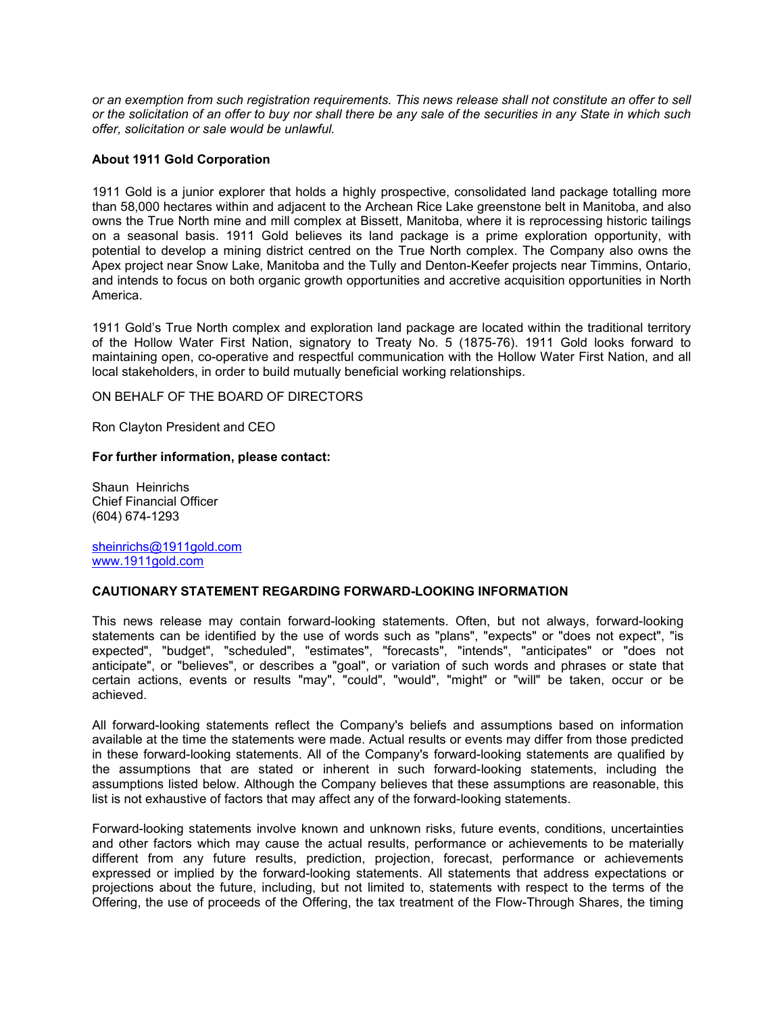or an exemption from such registration requirements. This news release shall not constitute an offer to sell *or the solicitation of an offer to buy nor shall there be any sale of the securities in any State in which such offer, solicitation or sale would be unlawful.*

# **About 1911 Gold Corporation**

1911 Gold is a junior explorer that holds a highly prospective, consolidated land package totalling more than 58,000 hectares within and adjacent to the Archean Rice Lake greenstone belt in Manitoba, and also owns the True North mine and mill complex at Bissett, Manitoba, where it is reprocessing historic tailings on a seasonal basis. 1911 Gold believes its land package is a prime exploration opportunity, with potential to develop a mining district centred on the True North complex. The Company also owns the Apex project near Snow Lake, Manitoba and the Tully and Denton-Keefer projects near Timmins, Ontario, and intends to focus on both organic growth opportunities and accretive acquisition opportunities in North America.

1911 Gold's True North complex and exploration land package are located within the traditional territory of the Hollow Water First Nation, signatory to Treaty No. 5 (1875-76). 1911 Gold looks forward to maintaining open, co-operative and respectful communication with the Hollow Water First Nation, and all local stakeholders, in order to build mutually beneficial working relationships.

ON BEHALF OF THE BOARD OF DIRECTORS

Ron Clayton President and CEO

### **For further information, please contact:**

Shaun Heinrichs Chief Financial Officer (604) 674-1293

[sheinrichs@1911gold.com](mailto:sheinrichs@1911gold.com) [www.1911gold.com](http://www.1911gold.com/)

# **CAUTIONARY STATEMENT REGARDING FORWARD-LOOKING INFORMATION**

This news release may contain forward-looking statements. Often, but not always, forward-looking statements can be identified by the use of words such as "plans", "expects" or "does not expect", "is expected", "budget", "scheduled", "estimates", "forecasts", "intends", "anticipates" or "does not anticipate", or "believes", or describes a "goal", or variation of such words and phrases or state that certain actions, events or results "may", "could", "would", "might" or "will" be taken, occur or be achieved.

All forward-looking statements reflect the Company's beliefs and assumptions based on information available at the time the statements were made. Actual results or events may differ from those predicted in these forward-looking statements. All of the Company's forward-looking statements are qualified by the assumptions that are stated or inherent in such forward-looking statements, including the assumptions listed below. Although the Company believes that these assumptions are reasonable, this list is not exhaustive of factors that may affect any of the forward-looking statements.

Forward-looking statements involve known and unknown risks, future events, conditions, uncertainties and other factors which may cause the actual results, performance or achievements to be materially different from any future results, prediction, projection, forecast, performance or achievements expressed or implied by the forward-looking statements. All statements that address expectations or projections about the future, including, but not limited to, statements with respect to the terms of the Offering, the use of proceeds of the Offering, the tax treatment of the Flow-Through Shares, the timing